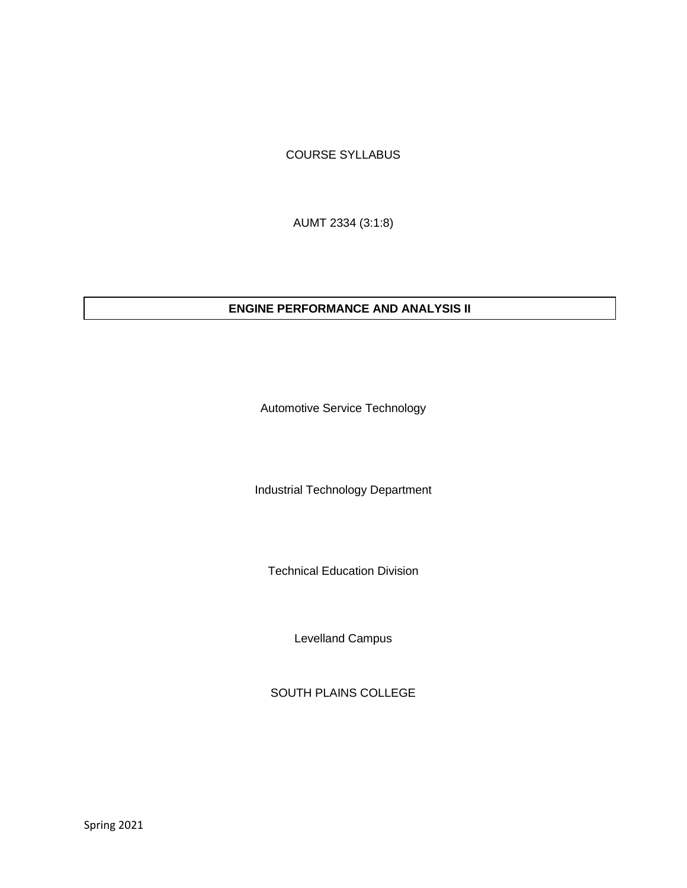## COURSE SYLLABUS

AUMT 2334 (3:1:8)

## **ENGINE PERFORMANCE AND ANALYSIS II**

Automotive Service Technology

Industrial Technology Department

Technical Education Division

Levelland Campus

SOUTH PLAINS COLLEGE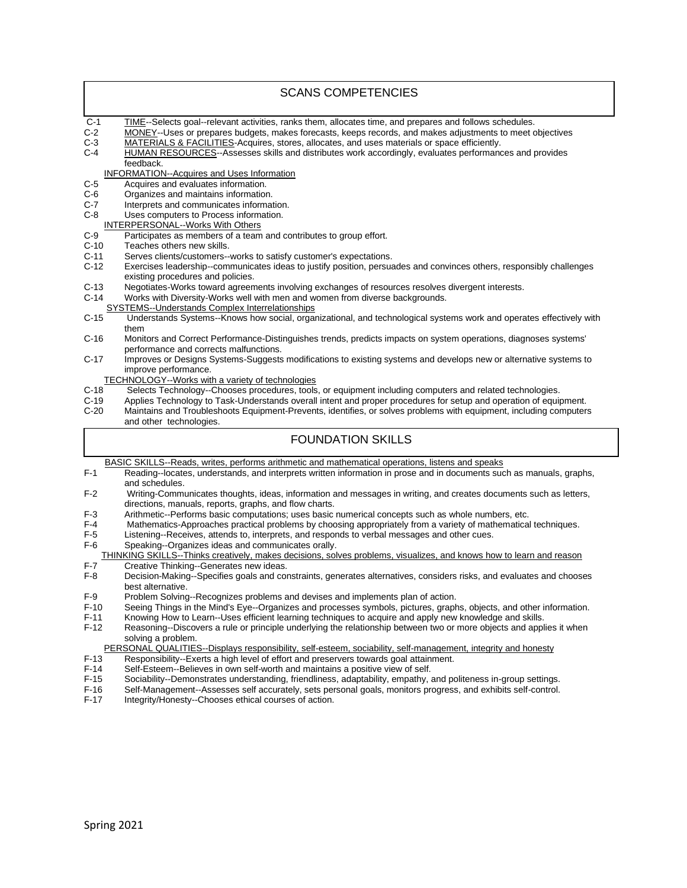| <b>SCANS COMPETENCIES</b>                                                                                            |                                                                                                                                                                                                        |  |
|----------------------------------------------------------------------------------------------------------------------|--------------------------------------------------------------------------------------------------------------------------------------------------------------------------------------------------------|--|
| $C-1$                                                                                                                | TIME--Selects goal--relevant activities, ranks them, allocates time, and prepares and follows schedules.                                                                                               |  |
| C-2                                                                                                                  | MONEY--Uses or prepares budgets, makes forecasts, keeps records, and makes adjustments to meet objectives                                                                                              |  |
| C-3<br>C-4                                                                                                           | MATERIALS & FACILITIES-Acquires, stores, allocates, and uses materials or space efficiently.<br>HUMAN RESOURCES--Assesses skills and distributes work accordingly, evaluates performances and provides |  |
|                                                                                                                      | feedback.                                                                                                                                                                                              |  |
| <b>INFORMATION--Acquires and Uses Information</b>                                                                    |                                                                                                                                                                                                        |  |
| C-5<br>C-6                                                                                                           | Acquires and evaluates information.<br>Organizes and maintains information.                                                                                                                            |  |
| C-7                                                                                                                  | Interprets and communicates information.                                                                                                                                                               |  |
| C-8                                                                                                                  | Uses computers to Process information.                                                                                                                                                                 |  |
| <b>INTERPERSONAL--Works With Others</b><br>C-9<br>Participates as members of a team and contributes to group effort. |                                                                                                                                                                                                        |  |
| $C-10$                                                                                                               | Teaches others new skills.                                                                                                                                                                             |  |
| $C-11$                                                                                                               | Serves clients/customers--works to satisfy customer's expectations.                                                                                                                                    |  |
| $C-12$                                                                                                               | Exercises leadership--communicates ideas to justify position, persuades and convinces others, responsibly challenges                                                                                   |  |
| C-13                                                                                                                 | existing procedures and policies.<br>Negotiates-Works toward agreements involving exchanges of resources resolves divergent interests.                                                                 |  |
| $C-14$                                                                                                               | Works with Diversity-Works well with men and women from diverse backgrounds.                                                                                                                           |  |
|                                                                                                                      | <b>SYSTEMS--Understands Complex Interrelationships</b>                                                                                                                                                 |  |
| $C-15$                                                                                                               | Understands Systems--Knows how social, organizational, and technological systems work and operates effectively with<br>them                                                                            |  |
| $C-16$                                                                                                               | Monitors and Correct Performance-Distinguishes trends, predicts impacts on system operations, diagnoses systems'                                                                                       |  |
|                                                                                                                      | performance and corrects malfunctions.                                                                                                                                                                 |  |
| C-17                                                                                                                 | Improves or Designs Systems-Suggests modifications to existing systems and develops new or alternative systems to                                                                                      |  |
| improve performance.<br>TECHNOLOGY--Works with a variety of technologies                                             |                                                                                                                                                                                                        |  |
| $C-18$                                                                                                               | Selects Technology--Chooses procedures, tools, or equipment including computers and related technologies.                                                                                              |  |
| $C-19$                                                                                                               | Applies Technology to Task-Understands overall intent and proper procedures for setup and operation of equipment.                                                                                      |  |
| $C-20$                                                                                                               | Maintains and Troubleshoots Equipment-Prevents, identifies, or solves problems with equipment, including computers<br>and other technologies.                                                          |  |
|                                                                                                                      |                                                                                                                                                                                                        |  |
| <b>FOUNDATION SKILLS</b>                                                                                             |                                                                                                                                                                                                        |  |
|                                                                                                                      | BASIC SKILLS--Reads, writes, performs arithmetic and mathematical operations, listens and speaks                                                                                                       |  |
| $F-1$                                                                                                                | Reading--locates, understands, and interprets written information in prose and in documents such as manuals, graphs,<br>and schedules.                                                                 |  |
| $F-2$                                                                                                                | Writing-Communicates thoughts, ideas, information and messages in writing, and creates documents such as letters,                                                                                      |  |
| F-3                                                                                                                  | directions, manuals, reports, graphs, and flow charts.<br>Arithmetic--Performs basic computations; uses basic numerical concepts such as whole numbers, etc.                                           |  |
| F-4                                                                                                                  | Mathematics-Approaches practical problems by choosing appropriately from a variety of mathematical techniques.                                                                                         |  |
| F-5                                                                                                                  | Listening--Receives, attends to, interprets, and responds to verbal messages and other cues.                                                                                                           |  |
| F-6                                                                                                                  | Speaking--Organizes ideas and communicates orally.                                                                                                                                                     |  |
| F-7                                                                                                                  | THINKING SKILLS--Thinks creatively, makes decisions, solves problems, visualizes, and knows how to learn and reason<br>Creative Thinking--Generates new ideas.                                         |  |
| $F-8$                                                                                                                | Decision-Making--Specifies goals and constraints, generates alternatives, considers risks, and evaluates and chooses<br>best alternative.                                                              |  |
| F-9                                                                                                                  | Problem Solving--Recognizes problems and devises and implements plan of action.                                                                                                                        |  |
| $F-10$                                                                                                               | Seeing Things in the Mind's Eye--Organizes and processes symbols, pictures, graphs, objects, and other information.                                                                                    |  |
| $F-11$                                                                                                               | Knowing How to Learn--Uses efficient learning techniques to acquire and apply new knowledge and skills.                                                                                                |  |
| $F-12$                                                                                                               | Reasoning--Discovers a rule or principle underlying the relationship between two or more objects and applies it when<br>solving a problem.                                                             |  |
| PERSONAL QUALITIES--Displays responsibility, self-esteem, sociability, self-management, integrity and honesty        |                                                                                                                                                                                                        |  |
| $F-13$                                                                                                               | Responsibility--Exerts a high level of effort and preservers towards goal attainment.                                                                                                                  |  |
| $F-14$<br>$F-15$                                                                                                     | Self-Esteem--Believes in own self-worth and maintains a positive view of self.<br>Sociability--Demonstrates understanding, friendliness, adaptability, empathy, and politeness in-group settings.      |  |
| $F-16$                                                                                                               | Self-Management--Assesses self accurately, sets personal goals, monitors progress, and exhibits self-control.                                                                                          |  |

F-17 Integrity/Honesty--Chooses ethical courses of action.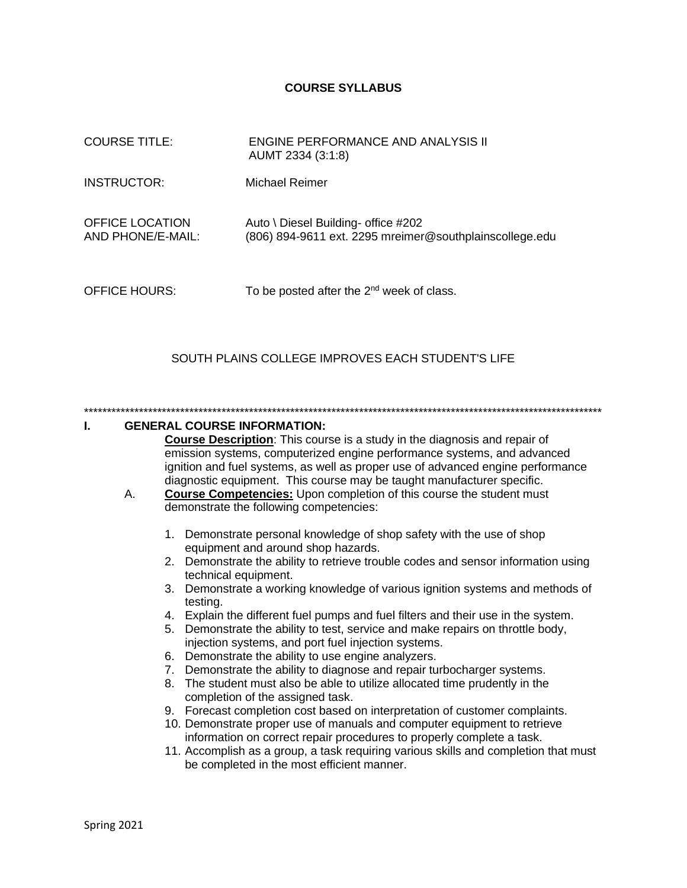#### **COURSE SYLLABUS**

| <b>COURSE TITLE:</b>                 | ENGINE PERFORMANCE AND ANALYSIS II<br>AUMT 2334 (3:1:8)                                        |
|--------------------------------------|------------------------------------------------------------------------------------------------|
| <b>INSTRUCTOR:</b>                   | Michael Reimer                                                                                 |
| OFFICE LOCATION<br>AND PHONE/E-MAIL: | Auto \ Diesel Building- office #202<br>(806) 894-9611 ext. 2295 mreimer@southplainscollege.edu |
| <b>OFFICE HOURS:</b>                 | To be posted after the $2^{nd}$ week of class.                                                 |

### SOUTH PLAINS COLLEGE IMPROVES EACH STUDENT'S LIFE

\*\*\*\*\*\*\*\*\*\*\*\*\*\*\*\*\*\*\*\*\*\*\*\*\*\*\*\*\*\*\*\*\*\*\*\*\*\*\*\*\*\*\*\*\*\*\*\*\*\*\*\*\*\*\*\*\*\*\*\*\*\*\*\*\*\*\*\*\*\*\*\*\*\*\*\*\*\*\*\*\*\*\*\*\*\*\*\*\*\*\*\*\*\*\*\*\*\*\*\*\*\*\*\*\*\*\*\*\*\*\*\*\*

#### **I. GENERAL COURSE INFORMATION:**

**Course Description**: This course is a study in the diagnosis and repair of emission systems, computerized engine performance systems, and advanced ignition and fuel systems, as well as proper use of advanced engine performance diagnostic equipment. This course may be taught manufacturer specific.

- A. **Course Competencies:** Upon completion of this course the student must demonstrate the following competencies:
	- 1. Demonstrate personal knowledge of shop safety with the use of shop equipment and around shop hazards.
	- 2. Demonstrate the ability to retrieve trouble codes and sensor information using technical equipment.
	- 3. Demonstrate a working knowledge of various ignition systems and methods of testing.
	- 4. Explain the different fuel pumps and fuel filters and their use in the system.
	- 5. Demonstrate the ability to test, service and make repairs on throttle body, injection systems, and port fuel injection systems.
	- 6. Demonstrate the ability to use engine analyzers.
	- 7. Demonstrate the ability to diagnose and repair turbocharger systems.
	- 8. The student must also be able to utilize allocated time prudently in the completion of the assigned task.
	- 9. Forecast completion cost based on interpretation of customer complaints.
	- 10. Demonstrate proper use of manuals and computer equipment to retrieve information on correct repair procedures to properly complete a task.
	- 11. Accomplish as a group, a task requiring various skills and completion that must be completed in the most efficient manner.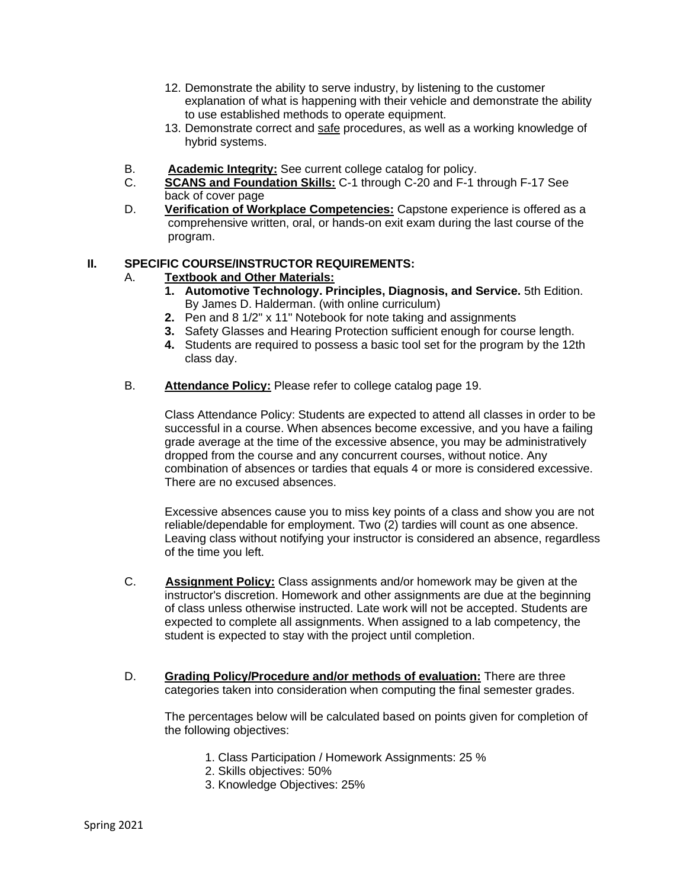- 12. Demonstrate the ability to serve industry, by listening to the customer explanation of what is happening with their vehicle and demonstrate the ability to use established methods to operate equipment.
- 13. Demonstrate correct and safe procedures, as well as a working knowledge of hybrid systems.
- B. **Academic Integrity:** See current college catalog for policy.
- C. **SCANS and Foundation Skills:** C-1 through C-20 and F-1 through F-17 See back of cover page
- D. **Verification of Workplace Competencies:** Capstone experience is offered as a comprehensive written, oral, or hands-on exit exam during the last course of the program.

## **II. SPECIFIC COURSE/INSTRUCTOR REQUIREMENTS:**

## A. **Textbook and Other Materials:**

- **1. Automotive Technology. Principles, Diagnosis, and Service.** 5th Edition. By James D. Halderman. (with online curriculum)
- **2.** Pen and 8 1/2" x 11" Notebook for note taking and assignments
- **3.** Safety Glasses and Hearing Protection sufficient enough for course length.
- **4.** Students are required to possess a basic tool set for the program by the 12th class day.
- B. **Attendance Policy:** Please refer to college catalog page 19.

Class Attendance Policy: Students are expected to attend all classes in order to be successful in a course. When absences become excessive, and you have a failing grade average at the time of the excessive absence, you may be administratively dropped from the course and any concurrent courses, without notice. Any combination of absences or tardies that equals 4 or more is considered excessive. There are no excused absences.

Excessive absences cause you to miss key points of a class and show you are not reliable/dependable for employment. Two (2) tardies will count as one absence. Leaving class without notifying your instructor is considered an absence, regardless of the time you left.

- C. **Assignment Policy:** Class assignments and/or homework may be given at the instructor's discretion. Homework and other assignments are due at the beginning of class unless otherwise instructed. Late work will not be accepted. Students are expected to complete all assignments. When assigned to a lab competency, the student is expected to stay with the project until completion.
- D. **Grading Policy/Procedure and/or methods of evaluation:** There are three categories taken into consideration when computing the final semester grades.

The percentages below will be calculated based on points given for completion of the following objectives:

- 1. Class Participation / Homework Assignments: 25 %
- 2. Skills objectives: 50%
- 3. Knowledge Objectives: 25%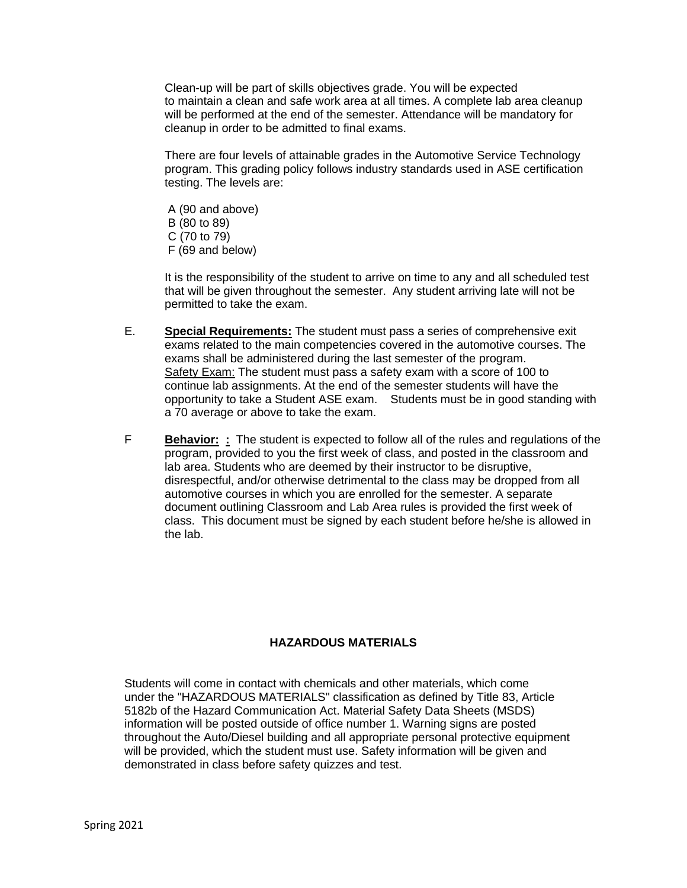Clean-up will be part of skills objectives grade. You will be expected to maintain a clean and safe work area at all times. A complete lab area cleanup will be performed at the end of the semester. Attendance will be mandatory for cleanup in order to be admitted to final exams.

There are four levels of attainable grades in the Automotive Service Technology program. This grading policy follows industry standards used in ASE certification testing. The levels are:

A (90 and above) B (80 to 89) C (70 to 79) F (69 and below)

It is the responsibility of the student to arrive on time to any and all scheduled test that will be given throughout the semester. Any student arriving late will not be permitted to take the exam.

- E. **Special Requirements:** The student must pass a series of comprehensive exit exams related to the main competencies covered in the automotive courses. The exams shall be administered during the last semester of the program. Safety Exam: The student must pass a safety exam with a score of 100 to continue lab assignments. At the end of the semester students will have the opportunity to take a Student ASE exam. Students must be in good standing with a 70 average or above to take the exam.
- F **Behavior: :** The student is expected to follow all of the rules and regulations of the program, provided to you the first week of class, and posted in the classroom and lab area. Students who are deemed by their instructor to be disruptive, disrespectful, and/or otherwise detrimental to the class may be dropped from all automotive courses in which you are enrolled for the semester. A separate document outlining Classroom and Lab Area rules is provided the first week of class. This document must be signed by each student before he/she is allowed in the lab.

#### **HAZARDOUS MATERIALS**

Students will come in contact with chemicals and other materials, which come under the "HAZARDOUS MATERIALS" classification as defined by Title 83, Article 5182b of the Hazard Communication Act. Material Safety Data Sheets (MSDS) information will be posted outside of office number 1. Warning signs are posted throughout the Auto/Diesel building and all appropriate personal protective equipment will be provided, which the student must use. Safety information will be given and demonstrated in class before safety quizzes and test.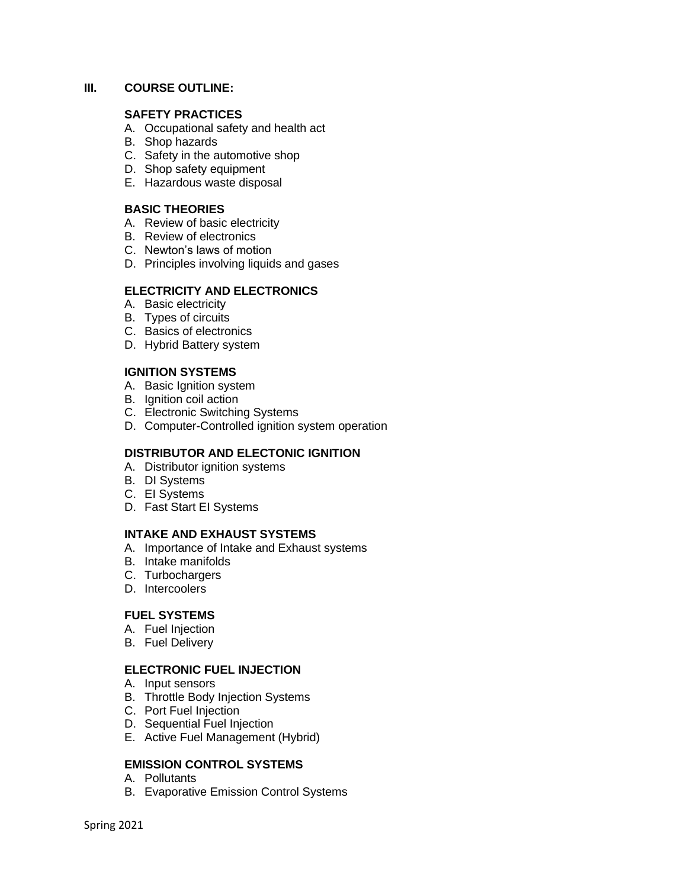#### **III. COURSE OUTLINE:**

#### **SAFETY PRACTICES**

- A. Occupational safety and health act
- B. Shop hazards
- C. Safety in the automotive shop
- D. Shop safety equipment
- E. Hazardous waste disposal

### **BASIC THEORIES**

- A. Review of basic electricity
- B. Review of electronics
- C. Newton's laws of motion
- D. Principles involving liquids and gases

### **ELECTRICITY AND ELECTRONICS**

- A. Basic electricity
- B. Types of circuits
- C. Basics of electronics
- D. Hybrid Battery system

## **IGNITION SYSTEMS**

- A. Basic Ignition system
- B. Ignition coil action
- C. Electronic Switching Systems
- D. Computer-Controlled ignition system operation

## **DISTRIBUTOR AND ELECTONIC IGNITION**

- A. Distributor ignition systems
- B. DI Systems
- C. EI Systems
- D. Fast Start EI Systems

## **INTAKE AND EXHAUST SYSTEMS**

- A. Importance of Intake and Exhaust systems
- B. Intake manifolds
- C. Turbochargers
- D. Intercoolers

#### **FUEL SYSTEMS**

- A. Fuel Injection
- B. Fuel Delivery

#### **ELECTRONIC FUEL INJECTION**

- A. Input sensors
- B. Throttle Body Injection Systems
- C. Port Fuel Injection
- D. Sequential Fuel Injection
- E. Active Fuel Management (Hybrid)

## **EMISSION CONTROL SYSTEMS**

- A. Pollutants
- B. Evaporative Emission Control Systems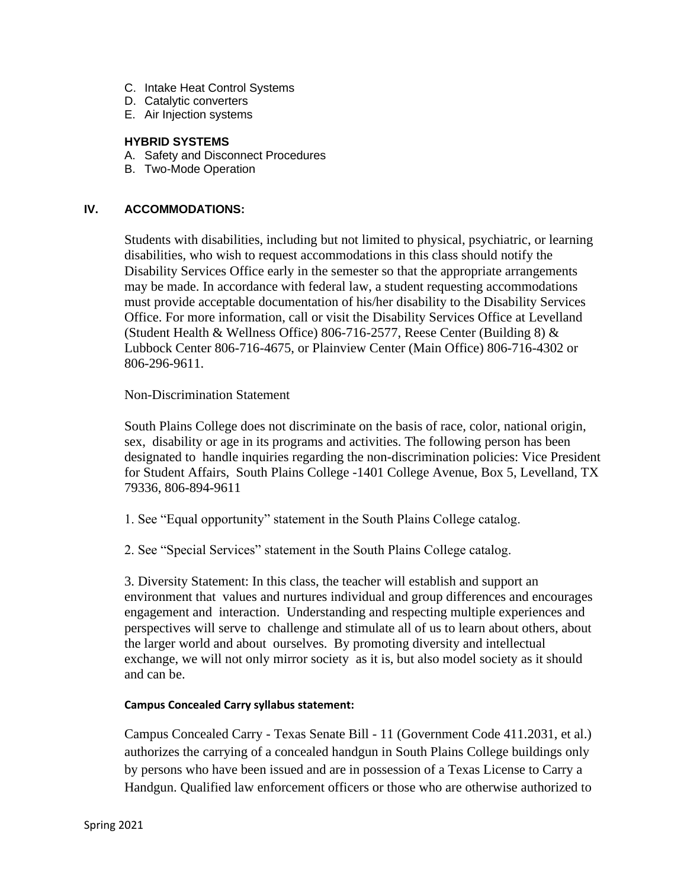- C. Intake Heat Control Systems
- D. Catalytic converters
- E. Air Injection systems

### **HYBRID SYSTEMS**

- A. Safety and Disconnect Procedures
- B. Two-Mode Operation

## **IV. ACCOMMODATIONS:**

Students with disabilities, including but not limited to physical, psychiatric, or learning disabilities, who wish to request accommodations in this class should notify the Disability Services Office early in the semester so that the appropriate arrangements may be made. In accordance with federal law, a student requesting accommodations must provide acceptable documentation of his/her disability to the Disability Services Office. For more information, call or visit the Disability Services Office at Levelland (Student Health & Wellness Office) 806-716-2577, Reese Center (Building 8) & Lubbock Center 806-716-4675, or Plainview Center (Main Office) 806-716-4302 or 806-296-9611.

### Non-Discrimination Statement

South Plains College does not discriminate on the basis of race, color, national origin, sex, disability or age in its programs and activities. The following person has been designated to handle inquiries regarding the non-discrimination policies: Vice President for Student Affairs, South Plains College -1401 College Avenue, Box 5, Levelland, TX 79336, 806-894-9611

- 1. See "Equal opportunity" statement in the South Plains College catalog.
- 2. See "Special Services" statement in the South Plains College catalog.

3. Diversity Statement: In this class, the teacher will establish and support an environment that values and nurtures individual and group differences and encourages engagement and interaction. Understanding and respecting multiple experiences and perspectives will serve to challenge and stimulate all of us to learn about others, about the larger world and about ourselves. By promoting diversity and intellectual exchange, we will not only mirror society as it is, but also model society as it should and can be.

#### **Campus Concealed Carry syllabus statement:**

Campus Concealed Carry - Texas Senate Bill - 11 (Government Code 411.2031, et al.) authorizes the carrying of a concealed handgun in South Plains College buildings only by persons who have been issued and are in possession of a Texas License to Carry a Handgun. Qualified law enforcement officers or those who are otherwise authorized to